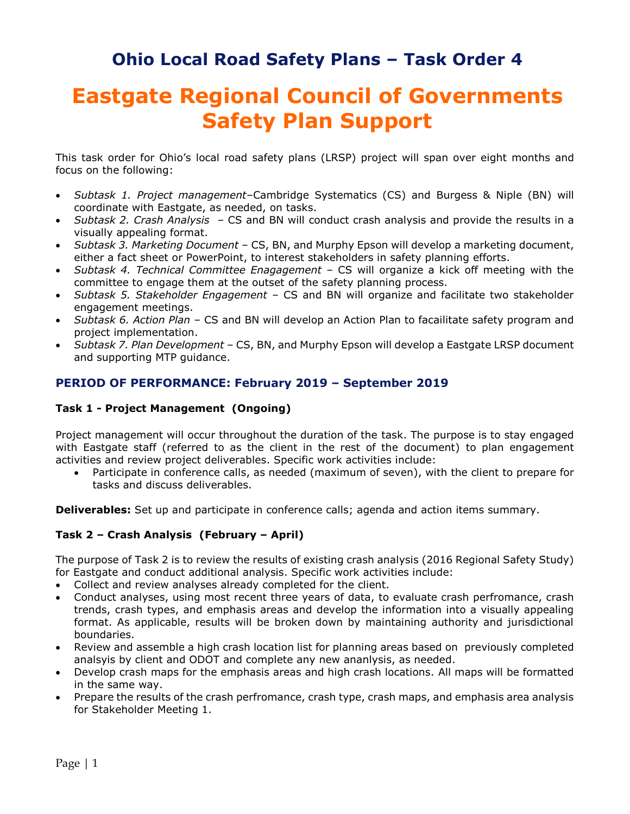## **Ohio Local Road Safety Plans – Task Order 4**

# **Eastgate Regional Council of Governments Safety Plan Support**

This task order for Ohio's local road safety plans (LRSP) project will span over eight months and focus on the following:

- *Subtask 1. Project management–*Cambridge Systematics (CS) and Burgess & Niple (BN) will coordinate with Eastgate, as needed, on tasks.
- *Subtask 2. Crash Analysis –* CS and BN will conduct crash analysis and provide the results in a visually appealing format.
- *Subtask 3. Marketing Document* CS, BN, and Murphy Epson will develop a marketing document, either a fact sheet or PowerPoint, to interest stakeholders in safety planning efforts.
- *Subtask 4. Technical Committee Enagagement* CS will organize a kick off meeting with the committee to engage them at the outset of the safety planning process.
- *Subtask 5. Stakeholder Engagement* CS and BN will organize and facilitate two stakeholder engagement meetings.
- *Subtask 6. Action Plan* CS and BN will develop an Action Plan to facailitate safety program and project implementation.
- *Subtask 7. Plan Development* CS, BN, and Murphy Epson will develop a Eastgate LRSP document and supporting MTP guidance.

#### **PERIOD OF PERFORMANCE: February 2019 – September 2019**

#### **Task 1 - Project Management (Ongoing)**

Project management will occur throughout the duration of the task. The purpose is to stay engaged with Eastgate staff (referred to as the client in the rest of the document) to plan engagement activities and review project deliverables. Specific work activities include:

• Participate in conference calls, as needed (maximum of seven), with the client to prepare for tasks and discuss deliverables.

**Deliverables:** Set up and participate in conference calls; agenda and action items summary.

#### **Task 2 – Crash Analysis (February – April)**

The purpose of Task 2 is to review the results of existing crash analysis (2016 Regional Safety Study) for Eastgate and conduct additional analysis. Specific work activities include:

- Collect and review analyses already completed for the client.
- Conduct analyses, using most recent three years of data, to evaluate crash perfromance, crash trends, crash types, and emphasis areas and develop the information into a visually appealing format. As applicable, results will be broken down by maintaining authority and jurisdictional boundaries.
- Review and assemble a high crash location list for planning areas based on previously completed analsyis by client and ODOT and complete any new ananlysis, as needed.
- Develop crash maps for the emphasis areas and high crash locations. All maps will be formatted in the same way.
- Prepare the results of the crash perfromance, crash type, crash maps, and emphasis area analysis for Stakeholder Meeting 1.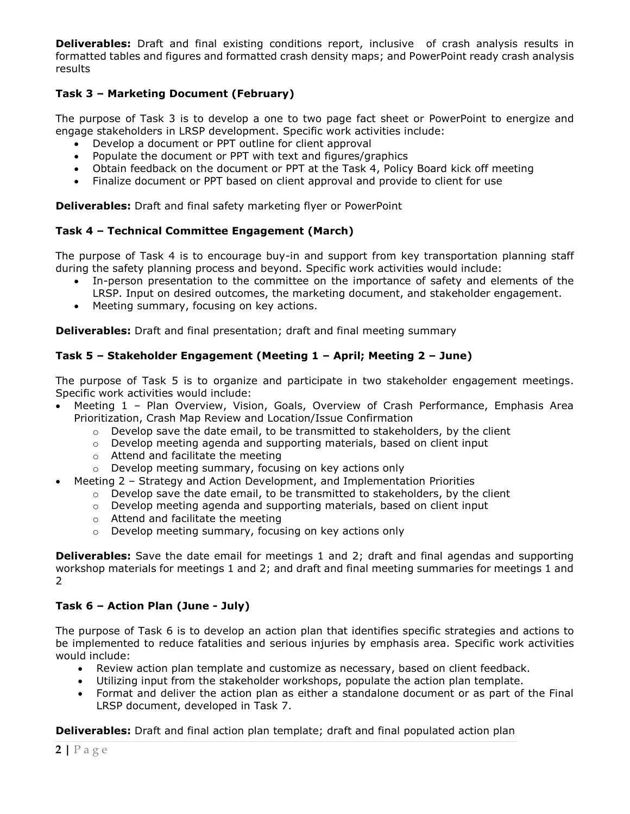**Deliverables:** Draft and final existing conditions report, inclusive of crash analysis results in formatted tables and figures and formatted crash density maps; and PowerPoint ready crash analysis results

#### **Task 3 – Marketing Document (February)**

The purpose of Task 3 is to develop a one to two page fact sheet or PowerPoint to energize and engage stakeholders in LRSP development. Specific work activities include:

- Develop a document or PPT outline for client approval
- Populate the document or PPT with text and figures/graphics
- Obtain feedback on the document or PPT at the Task 4, Policy Board kick off meeting
- Finalize document or PPT based on client approval and provide to client for use

**Deliverables:** Draft and final safety marketing flyer or PowerPoint

#### **Task 4 – Technical Committee Engagement (March)**

The purpose of Task 4 is to encourage buy-in and support from key transportation planning staff during the safety planning process and beyond. Specific work activities would include:

- In-person presentation to the committee on the importance of safety and elements of the LRSP. Input on desired outcomes, the marketing document, and stakeholder engagement.
- Meeting summary, focusing on key actions.

**Deliverables:** Draft and final presentation; draft and final meeting summary

#### **Task 5 – Stakeholder Engagement (Meeting 1 – April; Meeting 2 – June)**

The purpose of Task 5 is to organize and participate in two stakeholder engagement meetings. Specific work activities would include:

- Meeting 1 Plan Overview, Vision, Goals, Overview of Crash Performance, Emphasis Area Prioritization, Crash Map Review and Location/Issue Confirmation
	- $\circ$  Develop save the date email, to be transmitted to stakeholders, by the client
	- $\circ$  Develop meeting agenda and supporting materials, based on client input
	- o Attend and facilitate the meeting
	- o Develop meeting summary, focusing on key actions only
- Meeting 2 Strategy and Action Development, and Implementation Priorities
	- $\circ$  Develop save the date email, to be transmitted to stakeholders, by the client
	- $\circ$  Develop meeting agenda and supporting materials, based on client input
	- o Attend and facilitate the meeting
	- o Develop meeting summary, focusing on key actions only

**Deliverables:** Save the date email for meetings 1 and 2; draft and final agendas and supporting workshop materials for meetings 1 and 2; and draft and final meeting summaries for meetings 1 and  $\overline{2}$ 

#### **Task 6 – Action Plan (June - July)**

The purpose of Task 6 is to develop an action plan that identifies specific strategies and actions to be implemented to reduce fatalities and serious injuries by emphasis area. Specific work activities would include:

- Review action plan template and customize as necessary, based on client feedback.
- Utilizing input from the stakeholder workshops, populate the action plan template.
- Format and deliver the action plan as either a standalone document or as part of the Final LRSP document, developed in Task 7.

**Deliverables:** Draft and final action plan template; draft and final populated action plan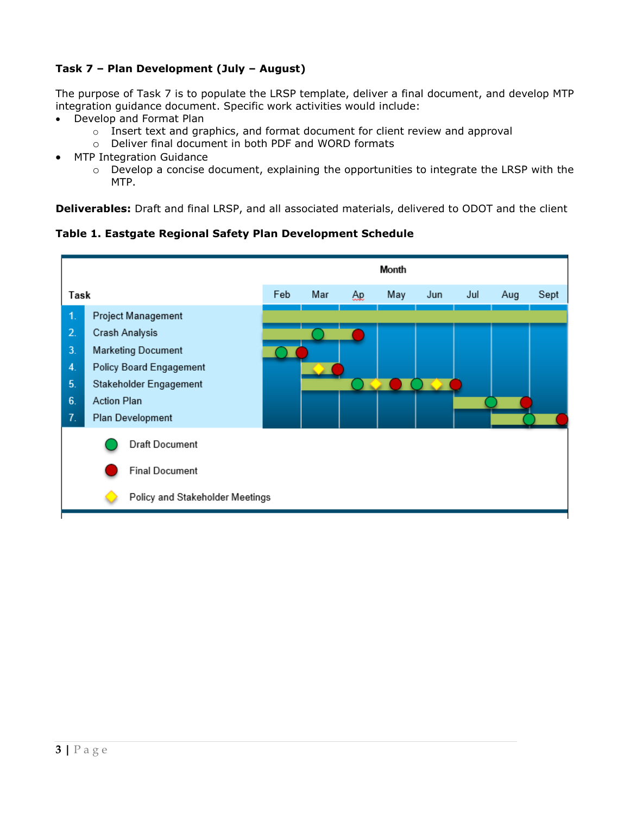#### **Task 7 – Plan Development (July – August)**

The purpose of Task 7 is to populate the LRSP template, deliver a final document, and develop MTP integration guidance document. Specific work activities would include:

- Develop and Format Plan
	- o Insert text and graphics, and format document for client review and approval
	- o Deliver final document in both PDF and WORD formats
- MTP Integration Guidance
	- o Develop a concise document, explaining the opportunities to integrate the LRSP with the MTP.

**Deliverables:** Draft and final LRSP, and all associated materials, delivered to ODOT and the client

**Table 1. Eastgate Regional Safety Plan Development Schedule**